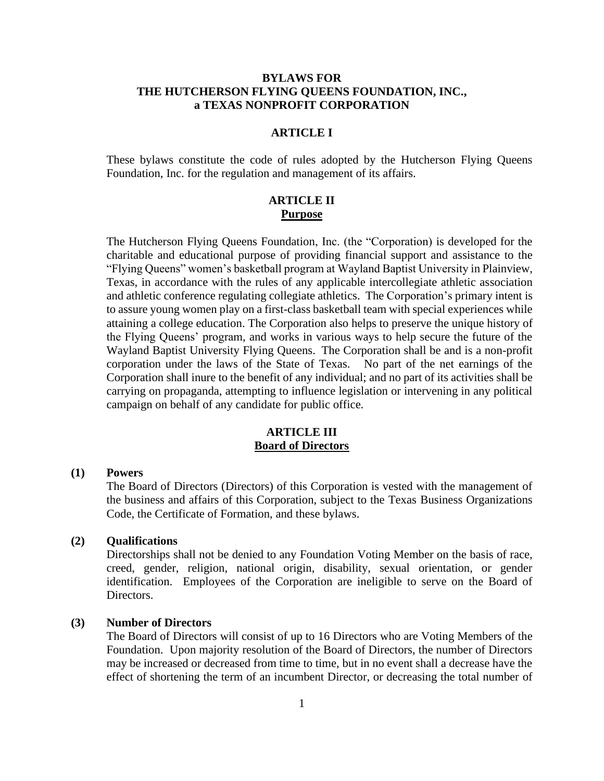# **BYLAWS FOR THE HUTCHERSON FLYING QUEENS FOUNDATION, INC., a TEXAS NONPROFIT CORPORATION**

# **ARTICLE I**

These bylaws constitute the code of rules adopted by the Hutcherson Flying Queens Foundation, Inc. for the regulation and management of its affairs.

# **ARTICLE II Purpose**

The Hutcherson Flying Queens Foundation, Inc. (the "Corporation) is developed for the charitable and educational purpose of providing financial support and assistance to the "Flying Queens" women's basketball program at Wayland Baptist University in Plainview, Texas, in accordance with the rules of any applicable intercollegiate athletic association and athletic conference regulating collegiate athletics. The Corporation's primary intent is to assure young women play on a first-class basketball team with special experiences while attaining a college education. The Corporation also helps to preserve the unique history of the Flying Queens' program, and works in various ways to help secure the future of the Wayland Baptist University Flying Queens. The Corporation shall be and is a non-profit corporation under the laws of the State of Texas. No part of the net earnings of the Corporation shall inure to the benefit of any individual; and no part of its activities shall be carrying on propaganda, attempting to influence legislation or intervening in any political campaign on behalf of any candidate for public office.

# **ARTICLE III Board of Directors**

#### **(1) Powers**

The Board of Directors (Directors) of this Corporation is vested with the management of the business and affairs of this Corporation, subject to the Texas Business Organizations Code, the Certificate of Formation, and these bylaws.

## **(2) Qualifications**

Directorships shall not be denied to any Foundation Voting Member on the basis of race, creed, gender, religion, national origin, disability, sexual orientation, or gender identification. Employees of the Corporation are ineligible to serve on the Board of Directors.

#### **(3) Number of Directors**

The Board of Directors will consist of up to 16 Directors who are Voting Members of the Foundation. Upon majority resolution of the Board of Directors, the number of Directors may be increased or decreased from time to time, but in no event shall a decrease have the effect of shortening the term of an incumbent Director, or decreasing the total number of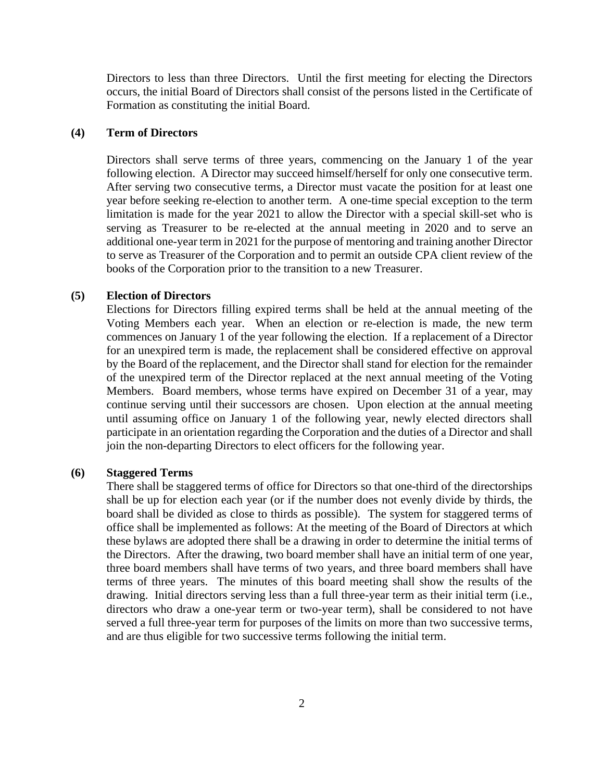Directors to less than three Directors. Until the first meeting for electing the Directors occurs, the initial Board of Directors shall consist of the persons listed in the Certificate of Formation as constituting the initial Board.

#### **(4) Term of Directors**

Directors shall serve terms of three years, commencing on the January 1 of the year following election. A Director may succeed himself/herself for only one consecutive term. After serving two consecutive terms, a Director must vacate the position for at least one year before seeking re-election to another term. A one-time special exception to the term limitation is made for the year 2021 to allow the Director with a special skill-set who is serving as Treasurer to be re-elected at the annual meeting in 2020 and to serve an additional one-year term in 2021 for the purpose of mentoring and training another Director to serve as Treasurer of the Corporation and to permit an outside CPA client review of the books of the Corporation prior to the transition to a new Treasurer.

#### **(5) Election of Directors**

Elections for Directors filling expired terms shall be held at the annual meeting of the Voting Members each year. When an election or re-election is made, the new term commences on January 1 of the year following the election. If a replacement of a Director for an unexpired term is made, the replacement shall be considered effective on approval by the Board of the replacement, and the Director shall stand for election for the remainder of the unexpired term of the Director replaced at the next annual meeting of the Voting Members. Board members, whose terms have expired on December 31 of a year, may continue serving until their successors are chosen. Upon election at the annual meeting until assuming office on January 1 of the following year, newly elected directors shall participate in an orientation regarding the Corporation and the duties of a Director and shall join the non-departing Directors to elect officers for the following year.

#### **(6) Staggered Terms**

There shall be staggered terms of office for Directors so that one-third of the directorships shall be up for election each year (or if the number does not evenly divide by thirds, the board shall be divided as close to thirds as possible). The system for staggered terms of office shall be implemented as follows: At the meeting of the Board of Directors at which these bylaws are adopted there shall be a drawing in order to determine the initial terms of the Directors. After the drawing, two board member shall have an initial term of one year, three board members shall have terms of two years, and three board members shall have terms of three years. The minutes of this board meeting shall show the results of the drawing.Initial directors serving less than a full three-year term as their initial term (i.e., directors who draw a one-year term or two-year term), shall be considered to not have served a full three-year term for purposes of the limits on more than two successive terms, and are thus eligible for two successive terms following the initial term.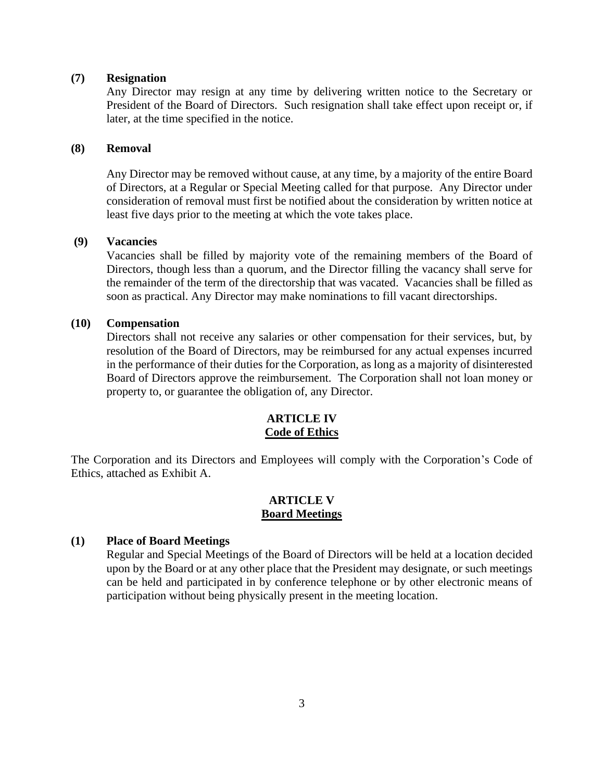### **(7) Resignation**

Any Director may resign at any time by delivering written notice to the Secretary or President of the Board of Directors. Such resignation shall take effect upon receipt or, if later, at the time specified in the notice.

#### **(8) Removal**

Any Director may be removed without cause, at any time, by a majority of the entire Board of Directors, at a Regular or Special Meeting called for that purpose. Any Director under consideration of removal must first be notified about the consideration by written notice at least five days prior to the meeting at which the vote takes place.

# **(9) Vacancies**

Vacancies shall be filled by majority vote of the remaining members of the Board of Directors, though less than a quorum, and the Director filling the vacancy shall serve for the remainder of the term of the directorship that was vacated. Vacancies shall be filled as soon as practical. Any Director may make nominations to fill vacant directorships.

### **(10) Compensation**

Directors shall not receive any salaries or other compensation for their services, but, by resolution of the Board of Directors, may be reimbursed for any actual expenses incurred in the performance of their duties for the Corporation, as long as a majority of disinterested Board of Directors approve the reimbursement. The Corporation shall not loan money or property to, or guarantee the obligation of, any Director.

# **ARTICLE IV Code of Ethics**

The Corporation and its Directors and Employees will comply with the Corporation's Code of Ethics, attached as Exhibit A.

## **ARTICLE V Board Meetings**

### **(1) Place of Board Meetings**

Regular and Special Meetings of the Board of Directors will be held at a location decided upon by the Board or at any other place that the President may designate, or such meetings can be held and participated in by conference telephone or by other electronic means of participation without being physically present in the meeting location.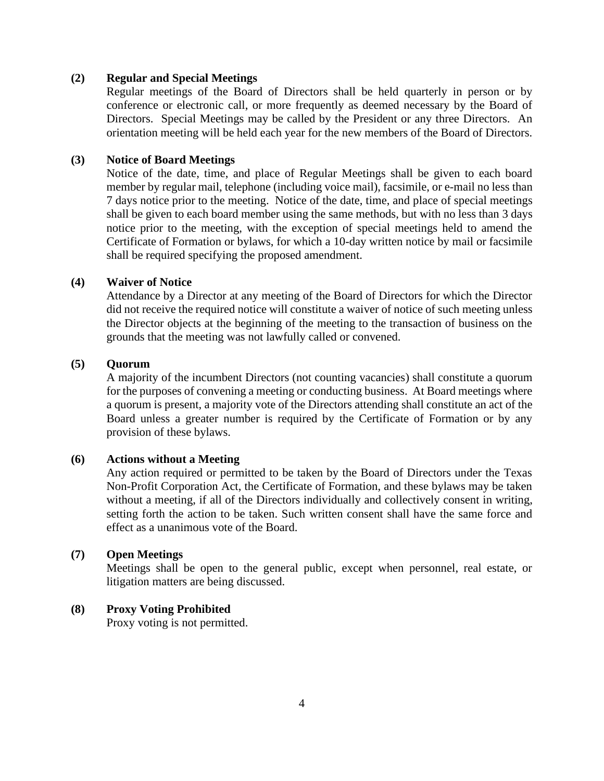#### **(2) Regular and Special Meetings**

Regular meetings of the Board of Directors shall be held quarterly in person or by conference or electronic call, or more frequently as deemed necessary by the Board of Directors. Special Meetings may be called by the President or any three Directors. An orientation meeting will be held each year for the new members of the Board of Directors.

### **(3) Notice of Board Meetings**

Notice of the date, time, and place of Regular Meetings shall be given to each board member by regular mail, telephone (including voice mail), facsimile, or e-mail no less than 7 days notice prior to the meeting. Notice of the date, time, and place of special meetings shall be given to each board member using the same methods, but with no less than 3 days notice prior to the meeting, with the exception of special meetings held to amend the Certificate of Formation or bylaws, for which a 10-day written notice by mail or facsimile shall be required specifying the proposed amendment.

# **(4) Waiver of Notice**

Attendance by a Director at any meeting of the Board of Directors for which the Director did not receive the required notice will constitute a waiver of notice of such meeting unless the Director objects at the beginning of the meeting to the transaction of business on the grounds that the meeting was not lawfully called or convened.

### **(5) Quorum**

A majority of the incumbent Directors (not counting vacancies) shall constitute a quorum for the purposes of convening a meeting or conducting business. At Board meetings where a quorum is present, a majority vote of the Directors attending shall constitute an act of the Board unless a greater number is required by the Certificate of Formation or by any provision of these bylaws.

### **(6) Actions without a Meeting**

Any action required or permitted to be taken by the Board of Directors under the Texas Non-Profit Corporation Act, the Certificate of Formation, and these bylaws may be taken without a meeting, if all of the Directors individually and collectively consent in writing, setting forth the action to be taken. Such written consent shall have the same force and effect as a unanimous vote of the Board.

#### **(7) Open Meetings**

Meetings shall be open to the general public, except when personnel, real estate, or litigation matters are being discussed.

### **(8) Proxy Voting Prohibited**

Proxy voting is not permitted.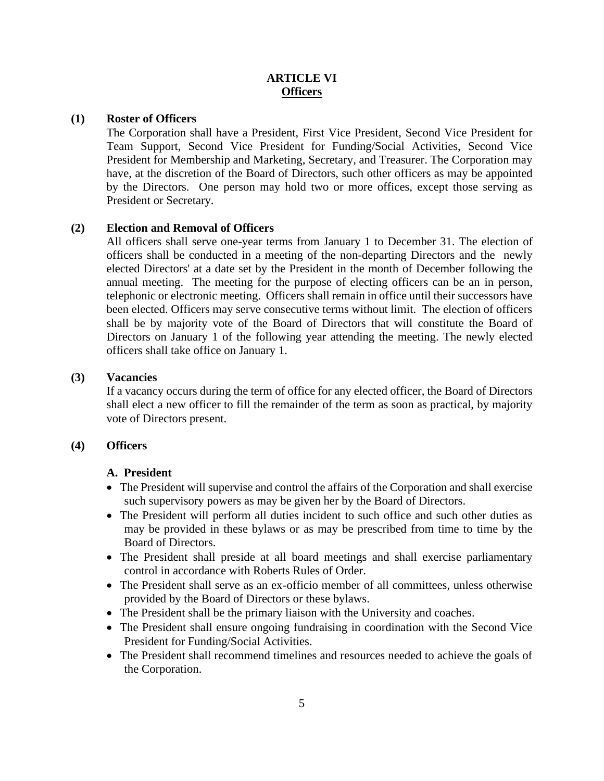# **ARTICLE VI Officers**

# **(1) Roster of Officers**

The Corporation shall have a President, First Vice President, Second Vice President for Team Support, Second Vice President for Funding/Social Activities, Second Vice President for Membership and Marketing, Secretary, and Treasurer. The Corporation may have, at the discretion of the Board of Directors, such other officers as may be appointed by the Directors. One person may hold two or more offices, except those serving as President or Secretary.

# **(2) Election and Removal of Officers**

All officers shall serve one-year terms from January 1 to December 31. The election of officers shall be conducted in a meeting of the non-departing Directors and the newly elected Directors' at a date set by the President in the month of December following the annual meeting. The meeting for the purpose of electing officers can be an in person, telephonic or electronic meeting. Officers shall remain in office until their successors have been elected. Officers may serve consecutive terms without limit. The election of officers shall be by majority vote of the Board of Directors that will constitute the Board of Directors on January 1 of the following year attending the meeting. The newly elected officers shall take office on January 1.

### **(3) Vacancies**

If a vacancy occurs during the term of office for any elected officer, the Board of Directors shall elect a new officer to fill the remainder of the term as soon as practical, by majority vote of Directors present.

### **(4) Officers**

# **A. President**

- The President will supervise and control the affairs of the Corporation and shall exercise such supervisory powers as may be given her by the Board of Directors.
- The President will perform all duties incident to such office and such other duties as may be provided in these bylaws or as may be prescribed from time to time by the Board of Directors.
- The President shall preside at all board meetings and shall exercise parliamentary control in accordance with Roberts Rules of Order.
- The President shall serve as an ex-officio member of all committees, unless otherwise provided by the Board of Directors or these bylaws.
- The President shall be the primary liaison with the University and coaches.
- The President shall ensure ongoing fundraising in coordination with the Second Vice President for Funding/Social Activities.
- The President shall recommend timelines and resources needed to achieve the goals of the Corporation.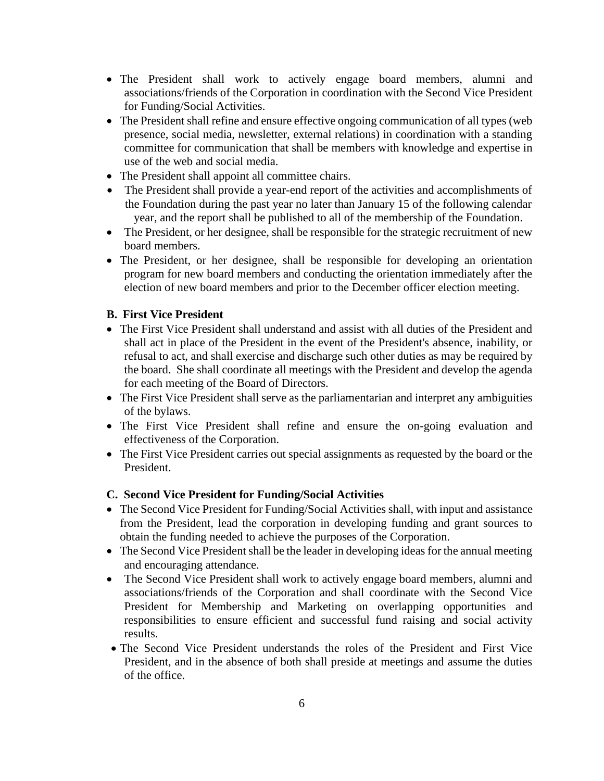- The President shall work to actively engage board members, alumni and associations/friends of the Corporation in coordination with the Second Vice President for Funding/Social Activities.
- The President shall refine and ensure effective ongoing communication of all types (web presence, social media, newsletter, external relations) in coordination with a standing committee for communication that shall be members with knowledge and expertise in use of the web and social media.
- The President shall appoint all committee chairs.
- The President shall provide a year-end report of the activities and accomplishments of the Foundation during the past year no later than January 15 of the following calendar year, and the report shall be published to all of the membership of the Foundation.
- The President, or her designee, shall be responsible for the strategic recruitment of new board members.
- The President, or her designee, shall be responsible for developing an orientation program for new board members and conducting the orientation immediately after the election of new board members and prior to the December officer election meeting.

# **B. First Vice President**

- The First Vice President shall understand and assist with all duties of the President and shall act in place of the President in the event of the President's absence, inability, or refusal to act, and shall exercise and discharge such other duties as may be required by the board. She shall coordinate all meetings with the President and develop the agenda for each meeting of the Board of Directors.
- The First Vice President shall serve as the parliamentarian and interpret any ambiguities of the bylaws.
- The First Vice President shall refine and ensure the on-going evaluation and effectiveness of the Corporation.
- The First Vice President carries out special assignments as requested by the board or the President.

# **C. Second Vice President for Funding/Social Activities**

- The Second Vice President for Funding/Social Activities shall, with input and assistance from the President, lead the corporation in developing funding and grant sources to obtain the funding needed to achieve the purposes of the Corporation.
- The Second Vice President shall be the leader in developing ideas for the annual meeting and encouraging attendance.
- The Second Vice President shall work to actively engage board members, alumni and associations/friends of the Corporation and shall coordinate with the Second Vice President for Membership and Marketing on overlapping opportunities and responsibilities to ensure efficient and successful fund raising and social activity results.
- The Second Vice President understands the roles of the President and First Vice President, and in the absence of both shall preside at meetings and assume the duties of the office.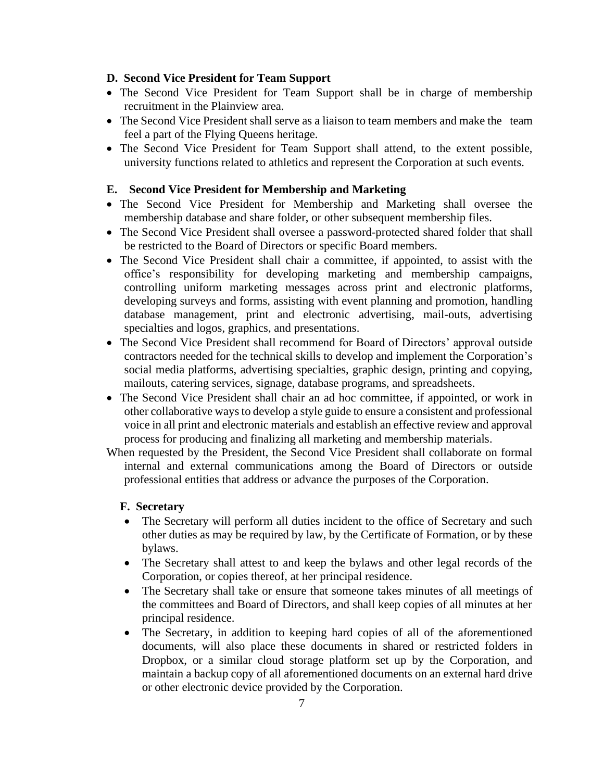#### **D. Second Vice President for Team Support**

- The Second Vice President for Team Support shall be in charge of membership recruitment in the Plainview area.
- The Second Vice President shall serve as a liaison to team members and make the team feel a part of the Flying Queens heritage.
- The Second Vice President for Team Support shall attend, to the extent possible, university functions related to athletics and represent the Corporation at such events.

## **E. Second Vice President for Membership and Marketing**

- The Second Vice President for Membership and Marketing shall oversee the membership database and share folder, or other subsequent membership files.
- The Second Vice President shall oversee a password-protected shared folder that shall be restricted to the Board of Directors or specific Board members.
- The Second Vice President shall chair a committee, if appointed, to assist with the office's responsibility for developing marketing and membership campaigns, controlling uniform marketing messages across print and electronic platforms, developing surveys and forms, assisting with event planning and promotion, handling database management, print and electronic advertising, mail-outs, advertising specialties and logos, graphics, and presentations.
- The Second Vice President shall recommend for Board of Directors' approval outside contractors needed for the technical skills to develop and implement the Corporation's social media platforms, advertising specialties, graphic design, printing and copying, mailouts, catering services, signage, database programs, and spreadsheets.
- The Second Vice President shall chair an ad hoc committee, if appointed, or work in other collaborative waysto develop a style guide to ensure a consistent and professional voice in all print and electronic materials and establish an effective review and approval process for producing and finalizing all marketing and membership materials.
- When requested by the President, the Second Vice President shall collaborate on formal internal and external communications among the Board of Directors or outside professional entities that address or advance the purposes of the Corporation.

### **F. Secretary**

- The Secretary will perform all duties incident to the office of Secretary and such other duties as may be required by law, by the Certificate of Formation, or by these bylaws.
- The Secretary shall attest to and keep the bylaws and other legal records of the Corporation, or copies thereof, at her principal residence.
- The Secretary shall take or ensure that someone takes minutes of all meetings of the committees and Board of Directors, and shall keep copies of all minutes at her principal residence.
- The Secretary, in addition to keeping hard copies of all of the aforementioned documents, will also place these documents in shared or restricted folders in Dropbox, or a similar cloud storage platform set up by the Corporation, and maintain a backup copy of all aforementioned documents on an external hard drive or other electronic device provided by the Corporation.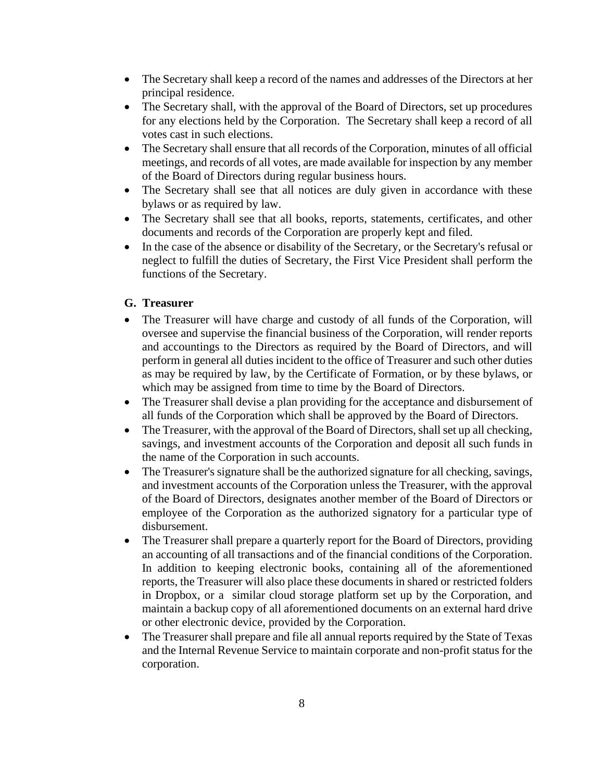- The Secretary shall keep a record of the names and addresses of the Directors at her principal residence.
- The Secretary shall, with the approval of the Board of Directors, set up procedures for any elections held by the Corporation. The Secretary shall keep a record of all votes cast in such elections.
- The Secretary shall ensure that all records of the Corporation, minutes of all official meetings, and records of all votes, are made available for inspection by any member of the Board of Directors during regular business hours.
- The Secretary shall see that all notices are duly given in accordance with these bylaws or as required by law.
- The Secretary shall see that all books, reports, statements, certificates, and other documents and records of the Corporation are properly kept and filed.
- In the case of the absence or disability of the Secretary, or the Secretary's refusal or neglect to fulfill the duties of Secretary, the First Vice President shall perform the functions of the Secretary.

# **G. Treasurer**

- The Treasurer will have charge and custody of all funds of the Corporation, will oversee and supervise the financial business of the Corporation, will render reports and accountings to the Directors as required by the Board of Directors, and will perform in general all duties incident to the office of Treasurer and such other duties as may be required by law, by the Certificate of Formation, or by these bylaws, or which may be assigned from time to time by the Board of Directors.
- The Treasurer shall devise a plan providing for the acceptance and disbursement of all funds of the Corporation which shall be approved by the Board of Directors.
- The Treasurer, with the approval of the Board of Directors, shall set up all checking, savings, and investment accounts of the Corporation and deposit all such funds in the name of the Corporation in such accounts.
- The Treasurer's signature shall be the authorized signature for all checking, savings, and investment accounts of the Corporation unless the Treasurer, with the approval of the Board of Directors, designates another member of the Board of Directors or employee of the Corporation as the authorized signatory for a particular type of disbursement.
- The Treasurer shall prepare a quarterly report for the Board of Directors, providing an accounting of all transactions and of the financial conditions of the Corporation. In addition to keeping electronic books, containing all of the aforementioned reports, the Treasurer will also place these documents in shared or restricted folders in Dropbox, or a similar cloud storage platform set up by the Corporation, and maintain a backup copy of all aforementioned documents on an external hard drive or other electronic device, provided by the Corporation.
- The Treasurer shall prepare and file all annual reports required by the State of Texas and the Internal Revenue Service to maintain corporate and non-profit status for the corporation.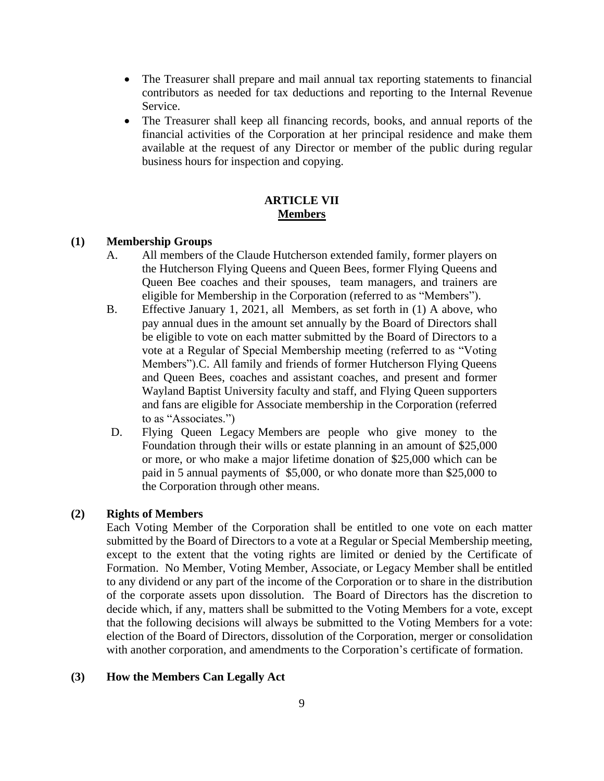- The Treasurer shall prepare and mail annual tax reporting statements to financial contributors as needed for tax deductions and reporting to the Internal Revenue Service.
- The Treasurer shall keep all financing records, books, and annual reports of the financial activities of the Corporation at her principal residence and make them available at the request of any Director or member of the public during regular business hours for inspection and copying.

# **ARTICLE VII Members**

#### **(1) Membership Groups**

- A. All members of the Claude Hutcherson extended family, former players on the Hutcherson Flying Queens and Queen Bees, former Flying Queens and Queen Bee coaches and their spouses, team managers, and trainers are eligible for Membership in the Corporation (referred to as "Members").
- B. Effective January 1, 2021, all Members, as set forth in (1) A above, who pay annual dues in the amount set annually by the Board of Directors shall be eligible to vote on each matter submitted by the Board of Directors to a vote at a Regular of Special Membership meeting (referred to as "Voting Members").C. All family and friends of former Hutcherson Flying Queens and Queen Bees, coaches and assistant coaches, and present and former Wayland Baptist University faculty and staff, and Flying Queen supporters and fans are eligible for Associate membership in the Corporation (referred to as "Associates.")
- D. Flying Queen Legacy Members are people who give money to the Foundation through their wills or estate planning in an amount of \$25,000 or more, or who make a major lifetime donation of \$25,000 which can be paid in 5 annual payments of \$5,000, or who donate more than \$25,000 to the Corporation through other means.

## **(2) Rights of Members**

Each Voting Member of the Corporation shall be entitled to one vote on each matter submitted by the Board of Directors to a vote at a Regular or Special Membership meeting, except to the extent that the voting rights are limited or denied by the Certificate of Formation. No Member, Voting Member, Associate, or Legacy Member shall be entitled to any dividend or any part of the income of the Corporation or to share in the distribution of the corporate assets upon dissolution. The Board of Directors has the discretion to decide which, if any, matters shall be submitted to the Voting Members for a vote, except that the following decisions will always be submitted to the Voting Members for a vote: election of the Board of Directors, dissolution of the Corporation, merger or consolidation with another corporation, and amendments to the Corporation's certificate of formation.

### **(3) How the Members Can Legally Act**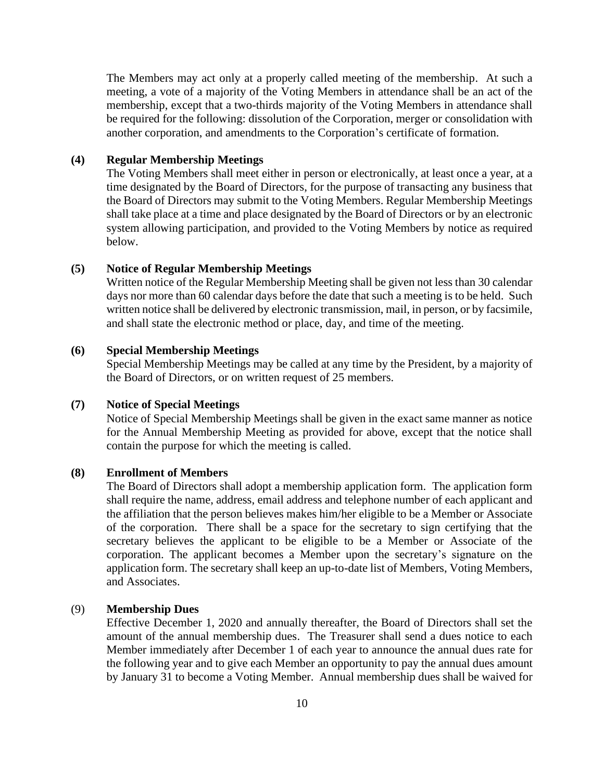The Members may act only at a properly called meeting of the membership. At such a meeting, a vote of a majority of the Voting Members in attendance shall be an act of the membership, except that a two-thirds majority of the Voting Members in attendance shall be required for the following: dissolution of the Corporation, merger or consolidation with another corporation, and amendments to the Corporation's certificate of formation.

### **(4) Regular Membership Meetings**

The Voting Members shall meet either in person or electronically, at least once a year*,* at a time designated by the Board of Directors, for the purpose of transacting any business that the Board of Directors may submit to the Voting Members. Regular Membership Meetings shall take place at a time and place designated by the Board of Directors or by an electronic system allowing participation, and provided to the Voting Members by notice as required below.

### **(5) Notice of Regular Membership Meetings**

Written notice of the Regular Membership Meeting shall be given not less than 30 calendar days nor more than 60 calendar days before the date that such a meeting is to be held. Such written notice shall be delivered by electronic transmission, mail, in person, or by facsimile, and shall state the electronic method or place, day, and time of the meeting.

#### **(6) Special Membership Meetings**

Special Membership Meetings may be called at any time by the President, by a majority of the Board of Directors, or on written request of 25 members.

#### **(7) Notice of Special Meetings**

Notice of Special Membership Meetings shall be given in the exact same manner as notice for the Annual Membership Meeting as provided for above, except that the notice shall contain the purpose for which the meeting is called.

# **(8) Enrollment of Members**

The Board of Directors shall adopt a membership application form. The application form shall require the name, address, email address and telephone number of each applicant and the affiliation that the person believes makes him/her eligible to be a Member or Associate of the corporation. There shall be a space for the secretary to sign certifying that the secretary believes the applicant to be eligible to be a Member or Associate of the corporation. The applicant becomes a Member upon the secretary's signature on the application form. The secretary shall keep an up-to-date list of Members, Voting Members, and Associates.

#### (9) **Membership Dues**

Effective December 1, 2020 and annually thereafter, the Board of Directors shall set the amount of the annual membership dues. The Treasurer shall send a dues notice to each Member immediately after December 1 of each year to announce the annual dues rate for the following year and to give each Member an opportunity to pay the annual dues amount by January 31 to become a Voting Member. Annual membership dues shall be waived for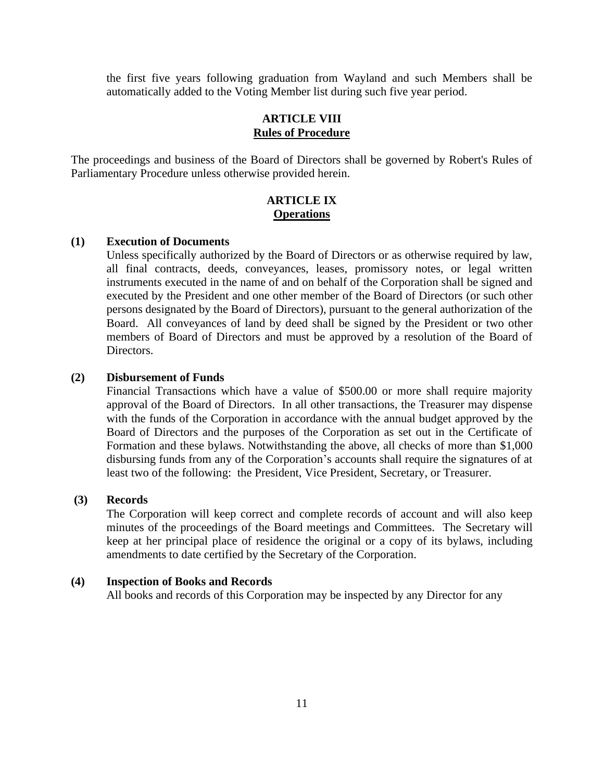the first five years following graduation from Wayland and such Members shall be automatically added to the Voting Member list during such five year period.

# **ARTICLE VIII Rules of Procedure**

The proceedings and business of the Board of Directors shall be governed by Robert's Rules of Parliamentary Procedure unless otherwise provided herein.

# **ARTICLE IX Operations**

### **(1) Execution of Documents**

Unless specifically authorized by the Board of Directors or as otherwise required by law, all final contracts, deeds, conveyances, leases, promissory notes, or legal written instruments executed in the name of and on behalf of the Corporation shall be signed and executed by the President and one other member of the Board of Directors (or such other persons designated by the Board of Directors), pursuant to the general authorization of the Board. All conveyances of land by deed shall be signed by the President or two other members of Board of Directors and must be approved by a resolution of the Board of Directors.

#### **(2) Disbursement of Funds**

Financial Transactions which have a value of \$500.00 or more shall require majority approval of the Board of Directors. In all other transactions, the Treasurer may dispense with the funds of the Corporation in accordance with the annual budget approved by the Board of Directors and the purposes of the Corporation as set out in the Certificate of Formation and these bylaws. Notwithstanding the above, all checks of more than \$1,000 disbursing funds from any of the Corporation's accounts shall require the signatures of at least two of the following: the President, Vice President, Secretary, or Treasurer.

#### **(3) Records**

The Corporation will keep correct and complete records of account and will also keep minutes of the proceedings of the Board meetings and Committees. The Secretary will keep at her principal place of residence the original or a copy of its bylaws, including amendments to date certified by the Secretary of the Corporation.

#### **(4) Inspection of Books and Records**

All books and records of this Corporation may be inspected by any Director for any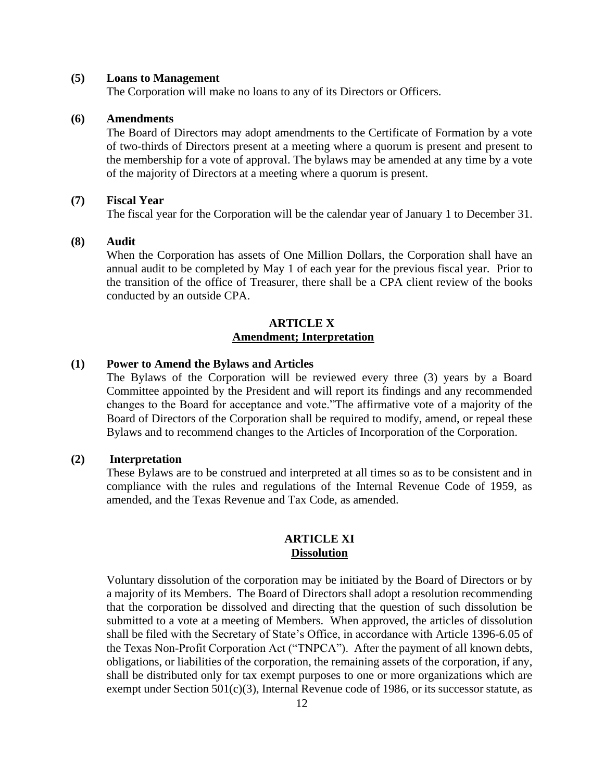#### **(5) Loans to Management**

The Corporation will make no loans to any of its Directors or Officers.

## **(6) Amendments**

The Board of Directors may adopt amendments to the Certificate of Formation by a vote of two-thirds of Directors present at a meeting where a quorum is present and present to the membership for a vote of approval. The bylaws may be amended at any time by a vote of the majority of Directors at a meeting where a quorum is present.

#### **(7) Fiscal Year**

The fiscal year for the Corporation will be the calendar year of January 1 to December 31.

# **(8) Audit**

When the Corporation has assets of One Million Dollars, the Corporation shall have an annual audit to be completed by May 1 of each year for the previous fiscal year. Prior to the transition of the office of Treasurer, there shall be a CPA client review of the books conducted by an outside CPA.

# **ARTICLE X Amendment; Interpretation**

# **(1) Power to Amend the Bylaws and Articles**

The Bylaws of the Corporation will be reviewed every three (3) years by a Board Committee appointed by the President and will report its findings and any recommended changes to the Board for acceptance and vote."The affirmative vote of a majority of the Board of Directors of the Corporation shall be required to modify, amend, or repeal these Bylaws and to recommend changes to the Articles of Incorporation of the Corporation.

### **(2) Interpretation**

These Bylaws are to be construed and interpreted at all times so as to be consistent and in compliance with the rules and regulations of the Internal Revenue Code of 1959, as amended, and the Texas Revenue and Tax Code, as amended.

## **ARTICLE XI Dissolution**

Voluntary dissolution of the corporation may be initiated by the Board of Directors or by a majority of its Members. The Board of Directors shall adopt a resolution recommending that the corporation be dissolved and directing that the question of such dissolution be submitted to a vote at a meeting of Members. When approved, the articles of dissolution shall be filed with the Secretary of State's Office, in accordance with Article 1396-6.05 of the Texas Non-Profit Corporation Act ("TNPCA"). After the payment of all known debts, obligations, or liabilities of the corporation, the remaining assets of the corporation, if any, shall be distributed only for tax exempt purposes to one or more organizations which are exempt under Section 501(c)(3), Internal Revenue code of 1986, or its successor statute, as